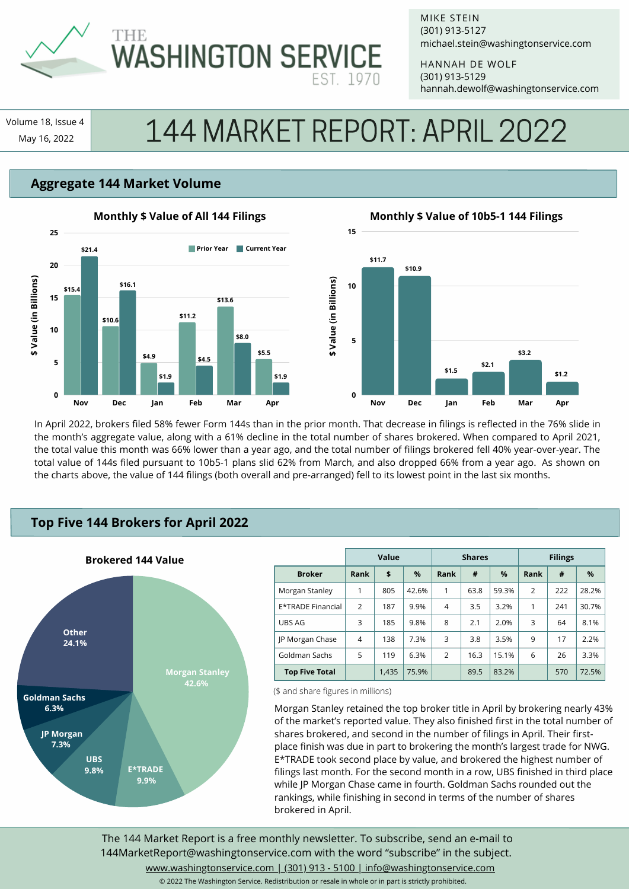

# **WASHINGTON SERVICE**

MIKE STEIN michael.stein@washingtonservice.com (301) 913-5127

HANNAH DE WOLF hannah.dewolf@washingtonservice.com (301) 913-5129

Volume 18, Issue 4

# |ume 18, Issue 4 | | 144 MARKET REPORT: APRIL 2022

## **Aggregate 144 Market Volume**



#### **Monthly \$ Value of 10b5-1 144 Filings**



In April 2022, brokers filed 58% fewer Form 144s than in the prior month. That decrease in filings is reflected in the 76% slide in the month's aggregate value, along with a 61% decline in the total number of shares brokered. When compared to April 2021, the total value this month was 66% lower than a year ago, and the total number of filings brokered fell 40% year-over-year. The total value of 144s filed pursuant to 10b5-1 plans slid 62% from March, and also dropped 66% from a year ago. As shown on the charts above, the value of 144 filings (both overall and pre-arranged) fell to its lowest point in the last six months.

### **Top Five 144 Brokers for April 2022**



|                       | Value          |       |       | <b>Shares</b>  |      |       | <b>Filings</b> |     |       |
|-----------------------|----------------|-------|-------|----------------|------|-------|----------------|-----|-------|
| <b>Broker</b>         | Rank           | \$    | $\%$  | Rank           | #    | %     | Rank           | #   | $\%$  |
| Morgan Stanley        | 1              | 805   | 42.6% | 1              | 63.8 | 59.3% | $\overline{2}$ | 222 | 28.2% |
| E*TRADE Financial     | $\overline{2}$ | 187   | 9.9%  | 4              | 3.5  | 3.2%  | 1              | 241 | 30.7% |
| UBS AG                | 3              | 185   | 9.8%  | 8              | 2.1  | 2.0%  | 3              | 64  | 8.1%  |
| JP Morgan Chase       | 4              | 138   | 7.3%  | 3              | 3.8  | 3.5%  | 9              | 17  | 2.2%  |
| Goldman Sachs         | 5              | 119   | 6.3%  | $\overline{2}$ | 16.3 | 15.1% | 6              | 26  | 3.3%  |
| <b>Top Five Total</b> |                | 1,435 | 75.9% |                | 89.5 | 83.2% |                | 570 | 72.5% |

(\$ and share figures in millions)

Morgan Stanley retained the top broker title in April by brokering nearly 43% of the market's reported value. They also finished first in the total number of shares brokered, and second in the number of filings in April. Their firstplace finish was due in part to brokering the month's largest trade for NWG. E\*TRADE took second place by value, and brokered the highest number of filings last month. For the second month in a row, UBS finished in third place while JP Morgan Chase came in fourth. Goldman Sachs rounded out the rankings, while finishing in second in terms of the number of shares brokered in April.

The 144 Market Report is a free monthly newsletter. To subscribe, send an e-mail to 144MarketReport@washingtonservice.com with the word "subscribe" in the subject. www.washingtonservice.com | (301) 913 - 5100 | info@washingtonservice.com

© 2022 The Washington Service. Redistribution or resale in whole or in part is strictly prohibited.